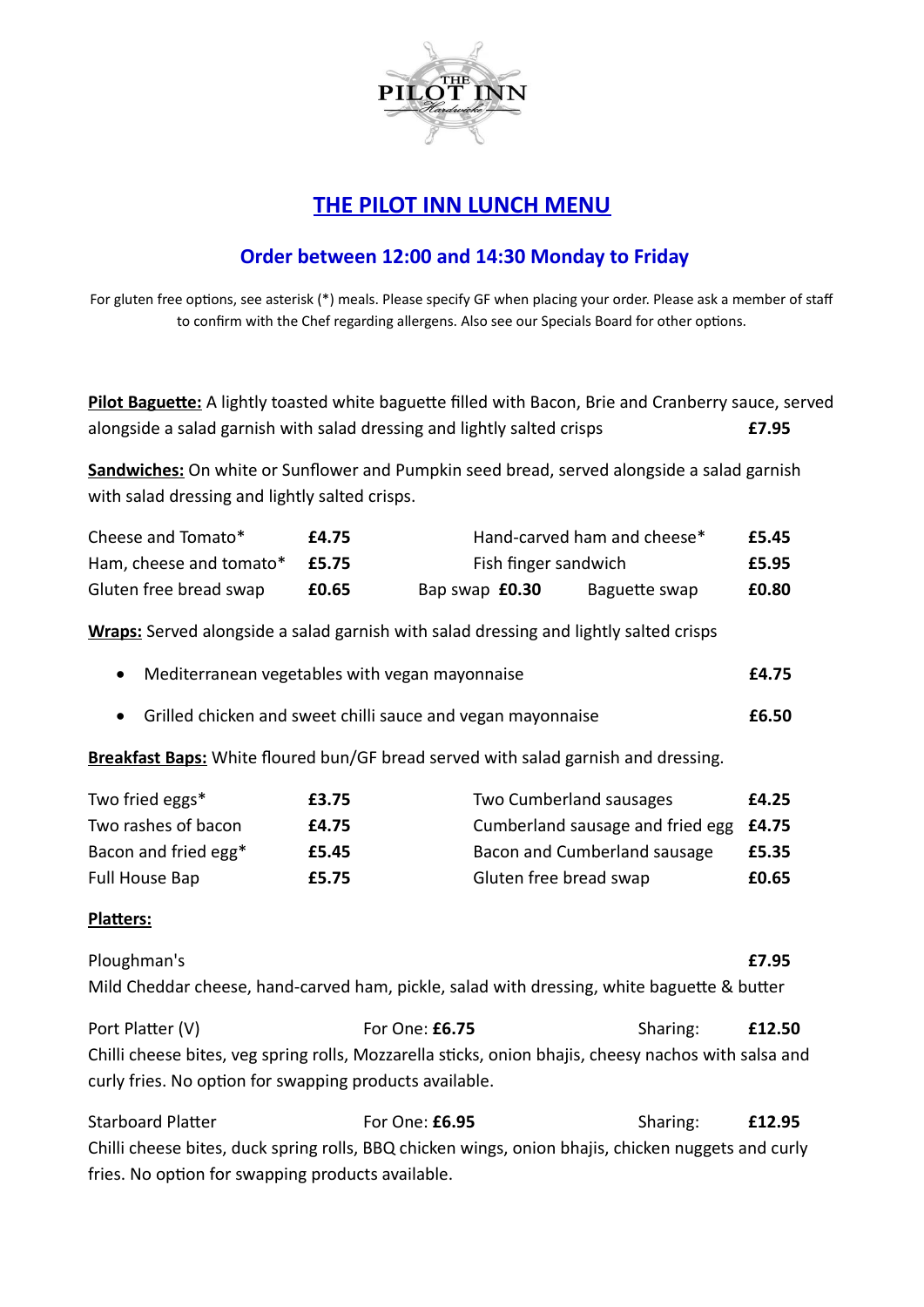

## **THE PILOT INN LUNCH MENU**

## **Order between 12:00 and 14:30 Monday to Friday**

For gluten free options, see asterisk (\*) meals. Please specify GF when placing your order. Please ask a member of staff to confirm with the Chef regarding allergens. Also see our Specials Board for other options.

| Pilot Baguette: A lightly toasted white baguette filled with Bacon, Brie and Cranberry sauce, served |       |
|------------------------------------------------------------------------------------------------------|-------|
| alongside a salad garnish with salad dressing and lightly salted crisps                              | £7.95 |

**Sandwiches:** On white or Sunflower and Pumpkin seed bread, served alongside a salad garnish with salad dressing and lightly salted crisps.

| Cheese and Tomato*      | £4.75 | Hand-carved ham and cheese* |                      |       |
|-------------------------|-------|-----------------------------|----------------------|-------|
| Ham, cheese and tomato* | £5.75 |                             | Fish finger sandwich |       |
| Gluten free bread swap  | £0.65 | Bap swap £0.30              | Baguette swap        | £0.80 |

**Wraps:** Served alongside a salad garnish with salad dressing and lightly salted crisps

| Mediterranean vegetables with vegan mayonnaise | £4.75 |
|------------------------------------------------|-------|
|                                                |       |

· Grilled chicken and sweet chilli sauce and vegan mayonnaise **£6.50**

**Breakfast Baps:** White floured bun/GF bread served with salad garnish and dressing.

| Two fried eggs*      | £3.75 | Two Cumberland sausages                | £4.25 |
|----------------------|-------|----------------------------------------|-------|
| Two rashes of bacon  | £4.75 | Cumberland sausage and fried egg £4.75 |       |
| Bacon and fried egg* | £5.45 | Bacon and Cumberland sausage           | £5.35 |
| Full House Bap       | £5.75 | Gluten free bread swap                 | £0.65 |

## **Platters:**

Ploughman's **£7.95** Mild Cheddar cheese, hand-carved ham, pickle, salad with dressing, white baguette & butter

Port Platter (V) **For One: £6.75** Sharing: **£12.50** Chilli cheese bites, veg spring rolls, Mozzarella sticks, onion bhajis, cheesy nachos with salsa and curly fries. No option for swapping products available.

Starboard Platter **For One: £6.95** Sharing: **£12.95** Chilli cheese bites, duck spring rolls, BBQ chicken wings, onion bhajis, chicken nuggets and curly fries. No option for swapping products available.